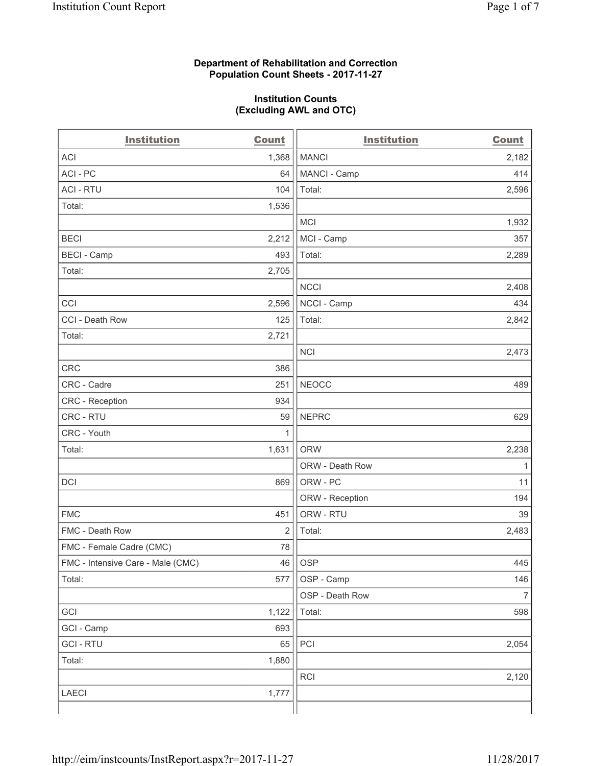#### **Department of Rehabilitation and Correction Population Count Sheets - 2017-11-27**

#### **Institution Counts (Excluding AWL and OTC)**

| <b>Institution</b>                | <b>Count</b> | <b>Institution</b> | <b>Count</b>             |
|-----------------------------------|--------------|--------------------|--------------------------|
| <b>ACI</b>                        | 1,368        | <b>MANCI</b>       | 2,182                    |
| ACI - PC                          | 64           | MANCI - Camp       | 414                      |
| <b>ACI - RTU</b>                  | 104          | Total:             | 2,596                    |
| Total:                            | 1,536        |                    |                          |
|                                   |              | <b>MCI</b>         | 1,932                    |
| <b>BECI</b>                       | 2,212        | MCI - Camp         | 357                      |
| <b>BECI</b> - Camp                | 493          | Total:             | 2,289                    |
| Total:                            | 2,705        |                    |                          |
|                                   |              | <b>NCCI</b>        | 2,408                    |
| CCI                               | 2,596        | NCCI - Camp        | 434                      |
| CCI - Death Row                   | 125          | Total:             | 2,842                    |
| Total:                            | 2,721        |                    |                          |
|                                   |              | <b>NCI</b>         | 2,473                    |
| <b>CRC</b>                        | 386          |                    |                          |
| CRC - Cadre                       | 251          | <b>NEOCC</b>       | 489                      |
| CRC - Reception                   | 934          |                    |                          |
| CRC - RTU                         | 59           | <b>NEPRC</b>       | 629                      |
| CRC - Youth                       | 1            |                    |                          |
| Total:                            | 1,631        | <b>ORW</b>         | 2,238                    |
|                                   |              | ORW - Death Row    | 1                        |
| DCI                               | 869          | ORW - PC           | 11                       |
|                                   |              | ORW - Reception    | 194                      |
| <b>FMC</b>                        | 451          | ORW - RTU          | 39                       |
| FMC - Death Row                   | 2            | Total:             | 2,483                    |
| FMC - Female Cadre (CMC)          | 78           |                    |                          |
| FMC - Intensive Care - Male (CMC) | 46           | <b>OSP</b>         | 445                      |
| Total:                            | 577          | OSP - Camp         | 146                      |
|                                   |              | OSP - Death Row    | $\overline{\mathcal{I}}$ |
| GCI                               | 1,122        | Total:             | 598                      |
| GCI - Camp                        | 693          |                    |                          |
| <b>GCI - RTU</b>                  | 65           | PCI                | 2,054                    |
| Total:                            | 1,880        |                    |                          |
|                                   |              | RCI                | 2,120                    |
| <b>LAECI</b>                      | 1,777        |                    |                          |
|                                   |              |                    |                          |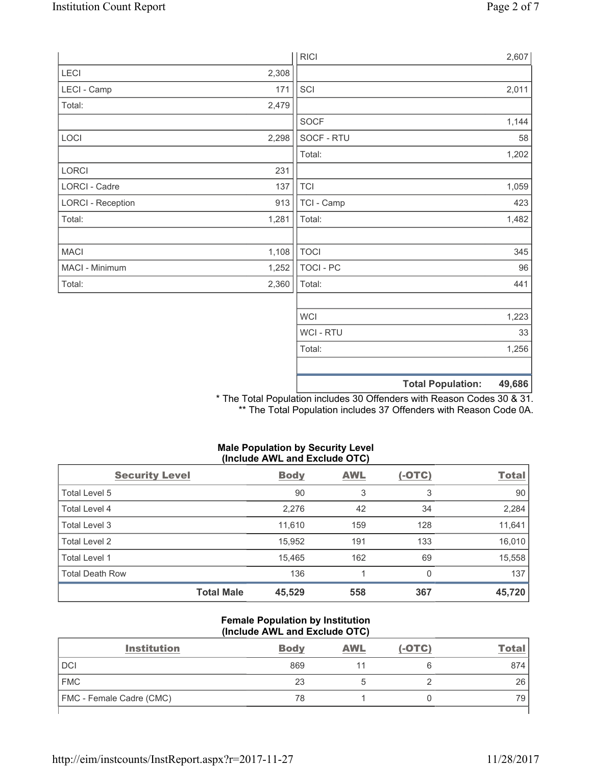|                          |       | <b>RICI</b> | 2,607                              |
|--------------------------|-------|-------------|------------------------------------|
| LECI                     | 2,308 |             |                                    |
| LECI - Camp              | 171   | SCI         | 2,011                              |
| Total:                   | 2,479 |             |                                    |
|                          |       | <b>SOCF</b> | 1,144                              |
| LOCI                     | 2,298 | SOCF - RTU  | 58                                 |
|                          |       | Total:      | 1,202                              |
| LORCI                    | 231   |             |                                    |
| LORCI - Cadre            | 137   | <b>TCI</b>  | 1,059                              |
| <b>LORCI - Reception</b> | 913   | TCI - Camp  | 423                                |
| Total:                   | 1,281 | Total:      | 1,482                              |
|                          |       |             |                                    |
| MACI                     | 1,108 | <b>TOCI</b> | 345                                |
| MACI - Minimum           | 1,252 | TOCI - PC   | 96                                 |
| Total:                   | 2,360 | Total:      | 441                                |
|                          |       |             |                                    |
|                          |       | <b>WCI</b>  | 1,223                              |
|                          |       | WCI - RTU   | 33                                 |
|                          |       | Total:      | 1,256                              |
|                          |       |             |                                    |
|                          |       |             | <b>Total Population:</b><br>49,686 |

\* The Total Population includes 30 Offenders with Reason Codes 30 & 31. \*\* The Total Population includes 37 Offenders with Reason Code 0A.

# **Male Population by Security Level (Include AWL and Exclude OTC)**

| <b>Security Level</b>  |                   | <b>Body</b> | <b>AWL</b> | $(-OTC)$ | <b>Total</b> |
|------------------------|-------------------|-------------|------------|----------|--------------|
| Total Level 5          |                   | 90          | 3          | 3        | 90           |
| Total Level 4          |                   | 2,276       | 42         | 34       | 2,284        |
| Total Level 3          |                   | 11,610      | 159        | 128      | 11,641       |
| Total Level 2          |                   | 15,952      | 191        | 133      | 16,010       |
| Total Level 1          |                   | 15,465      | 162        | 69       | 15,558       |
| <b>Total Death Row</b> |                   | 136         |            | 0        | 137          |
|                        | <b>Total Male</b> | 45,529      | 558        | 367      | 45,720       |

#### **Female Population by Institution (Include AWL and Exclude OTC)**

| <b>Institution</b>       | <b>Body</b> | <b>AWL</b> | $(-OTC)$ | Total |
|--------------------------|-------------|------------|----------|-------|
| <b>DCI</b>               | 869         |            |          | 874   |
| <b>FMC</b>               | 23          |            |          | 26    |
| FMC - Female Cadre (CMC) | 78          |            |          | 79    |
|                          |             |            |          |       |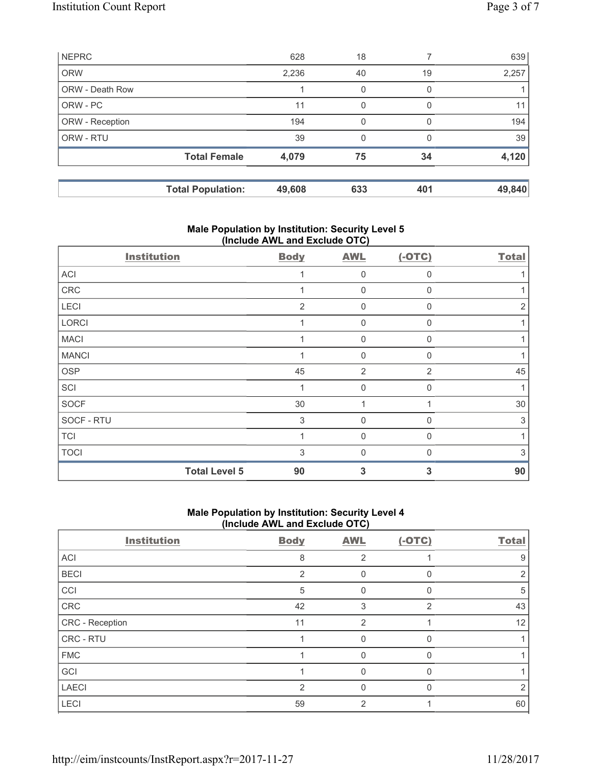|                        | <b>Total Population:</b> | 49,608 | 633 | 401              | 49,840 |
|------------------------|--------------------------|--------|-----|------------------|--------|
|                        | <b>Total Female</b>      | 4,079  | 75  | 34               | 4,120  |
| ORW - RTU              |                          | 39     | 0   | O                | 39     |
| ORW - Reception        |                          | 194    | 0   | $\left( \right)$ | 194    |
| ORW - PC               |                          | 11     | 0   | 0                | 11     |
| <b>ORW - Death Row</b> |                          |        | 0   | 0                |        |
| <b>ORW</b>             |                          | 2,236  | 40  | 19               | 2,257  |
| <b>NEPRC</b>           |                          | 628    | 18  |                  | 639    |

# **Male Population by Institution: Security Level 5 (Include AWL and Exclude OTC)**

| <b>Institution</b>   | <b>Body</b>    | <b>AWL</b>     | $(-OTC)$       | <b>Total</b> |
|----------------------|----------------|----------------|----------------|--------------|
| ACI                  |                | $\mathbf 0$    | $\mathbf{0}$   |              |
| CRC                  |                | $\mathbf 0$    | $\Omega$       |              |
| LECI                 | $\overline{2}$ | 0              | $\mathbf{0}$   | 2            |
| LORCI                | 1              | $\mathbf 0$    | $\mathbf 0$    |              |
| <b>MACI</b>          |                | 0              | $\Omega$       |              |
| <b>MANCI</b>         |                | $\mathbf 0$    | $\Omega$       |              |
| <b>OSP</b>           | 45             | $\overline{2}$ | $\overline{2}$ | 45           |
| SCI                  |                | $\mathbf 0$    | $\mathbf{0}$   |              |
| SOCF                 | 30             | 1              |                | 30           |
| SOCF - RTU           | 3              | $\Omega$       | $\Omega$       | 3            |
| <b>TCI</b>           |                | $\mathbf 0$    | $\mathbf{0}$   |              |
| <b>TOCI</b>          | 3              | $\Omega$       | $\Omega$       | 3            |
| <b>Total Level 5</b> | 90             | 3              | 3              | 90           |

# **Male Population by Institution: Security Level 4 (Include AWL and Exclude OTC)**

| <b>Institution</b> | <b>Body</b>    | <b>AWL</b>     | $(-OTC)$       | <b>Total</b> |
|--------------------|----------------|----------------|----------------|--------------|
| ACI                | 8              | $\overline{2}$ |                | 9            |
| <b>BECI</b>        | $\overline{2}$ | 0              |                | 2            |
| CCI                | 5              |                |                | 5            |
| CRC                | 42             | 3              | $\overline{2}$ | 43           |
| CRC - Reception    | 11             | 2              |                | 12           |
| CRC - RTU          |                |                |                |              |
| <b>FMC</b>         |                | 0              | U              |              |
| GCI                |                | 0              |                |              |
| <b>LAECI</b>       | $\overline{2}$ | 0              |                | 2            |
| LECI               | 59             | 2              |                | 60           |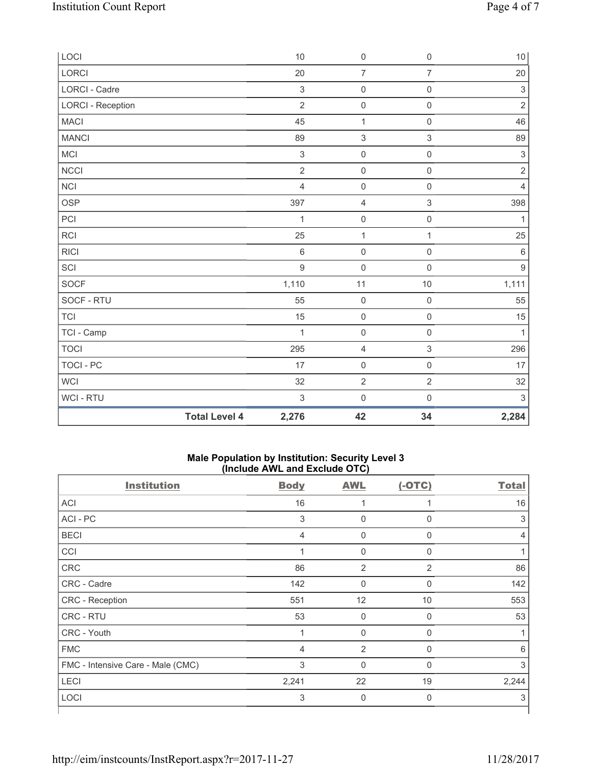| LOCI                     |                      | 10                        | $\mathsf{O}\xspace$ | $\mathsf{O}\xspace$ | $10\,$                    |
|--------------------------|----------------------|---------------------------|---------------------|---------------------|---------------------------|
| <b>LORCI</b>             |                      | 20                        | $\overline{7}$      | $\overline{7}$      | 20                        |
| LORCI - Cadre            |                      | $\mathsf 3$               | $\mathsf{O}\xspace$ | $\mathsf{O}\xspace$ | $\ensuremath{\mathsf{3}}$ |
| <b>LORCI - Reception</b> |                      | $\overline{2}$            | $\mathsf{O}\xspace$ | $\mathsf{O}\xspace$ | $\overline{2}$            |
| <b>MACI</b>              |                      | 45                        | $\mathbf 1$         | $\mathsf{O}\xspace$ | 46                        |
| <b>MANCI</b>             |                      | 89                        | $\sqrt{3}$          | $\,$ 3 $\,$         | 89                        |
| MCI                      |                      | $\ensuremath{\mathsf{3}}$ | $\mathsf 0$         | $\mathsf{O}\xspace$ | $\ensuremath{\mathsf{3}}$ |
| NCCI                     |                      | $\mathbf 2$               | $\mathsf{O}\xspace$ | $\mathsf{O}\xspace$ | $\sqrt{2}$                |
| <b>NCI</b>               |                      | $\overline{4}$            | $\mathsf{O}\xspace$ | $\mathsf{O}\xspace$ | $\overline{4}$            |
| <b>OSP</b>               |                      | 397                       | $\overline{4}$      | $\,$ 3 $\,$         | 398                       |
| PCI                      |                      | 1                         | $\pmb{0}$           | $\mathsf 0$         | 1                         |
| <b>RCI</b>               |                      | 25                        | $\mathbf{1}$        | $\mathbf{1}$        | 25                        |
| <b>RICI</b>              |                      | $\,6$                     | $\mathsf{O}\xspace$ | $\mathsf{O}\xspace$ | $\,6\,$                   |
| SCI                      |                      | $\overline{9}$            | $\mathbf 0$         | $\mathbf 0$         | $9\,$                     |
| <b>SOCF</b>              |                      | 1,110                     | 11                  | 10                  | 1,111                     |
| SOCF - RTU               |                      | 55                        | $\pmb{0}$           | $\mathsf{O}\xspace$ | 55                        |
| <b>TCI</b>               |                      | 15                        | $\mathsf{O}\xspace$ | $\mathsf{O}\xspace$ | 15                        |
| TCI - Camp               |                      | 1                         | $\mathsf 0$         | $\mathsf{O}\xspace$ | $\mathbf{1}$              |
| <b>TOCI</b>              |                      | 295                       | $\overline{4}$      | $\mathfrak{S}$      | 296                       |
| <b>TOCI - PC</b>         |                      | 17                        | $\mathsf{O}\xspace$ | $\mathsf{O}\xspace$ | 17                        |
| <b>WCI</b>               |                      | 32                        | $\overline{2}$      | $\overline{2}$      | 32                        |
| WCI - RTU                |                      | $\,$ 3 $\,$               | $\mathsf{O}\xspace$ | $\mathsf 0$         | $\sqrt{3}$                |
|                          | <b>Total Level 4</b> | 2,276                     | 42                  | 34                  | 2,284                     |

### **Male Population by Institution: Security Level 3 (Include AWL and Exclude OTC)**

| <b>Institution</b>                | <b>Body</b>    | <b>AWL</b>  | $(-OTC)$       | <b>Total</b> |
|-----------------------------------|----------------|-------------|----------------|--------------|
| <b>ACI</b>                        | 16             | 1           | 1              | 16           |
| ACI-PC                            | 3              | $\mathbf 0$ | 0              | 3            |
| <b>BECI</b>                       | 4              | 0           | 0              | 4            |
| CCI                               | 1              | $\mathbf 0$ | 0              |              |
| CRC                               | 86             | 2           | $\overline{2}$ | 86           |
| CRC - Cadre                       | 142            | $\mathbf 0$ | 0              | 142          |
| CRC - Reception                   | 551            | 12          | 10             | 553          |
| CRC - RTU                         | 53             | $\mathbf 0$ | 0              | 53           |
| CRC - Youth                       |                | $\mathbf 0$ | 0              |              |
| <b>FMC</b>                        | $\overline{4}$ | 2           | $\Omega$       | 6            |
| FMC - Intensive Care - Male (CMC) | 3              | $\mathbf 0$ | 0              | 3            |
| <b>LECI</b>                       | 2,241          | 22          | 19             | 2,244        |
| <b>LOCI</b>                       | 3              | $\mathbf 0$ | 0              | 3            |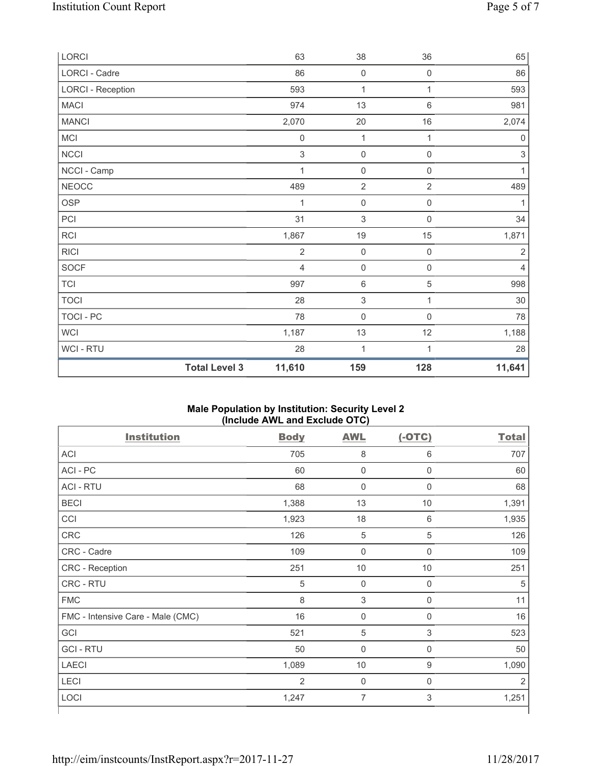| LORCI                    |                      | 63                        | 38                        | 36                  | 65                  |
|--------------------------|----------------------|---------------------------|---------------------------|---------------------|---------------------|
| LORCI - Cadre            |                      | 86                        | $\mathsf{O}\xspace$       | $\mathsf{O}\xspace$ | 86                  |
| <b>LORCI - Reception</b> |                      | 593                       | $\mathbf{1}$              | 1                   | 593                 |
| <b>MACI</b>              |                      | 974                       | 13                        | $\,6\,$             | 981                 |
| <b>MANCI</b>             |                      | 2,070                     | 20                        | 16                  | 2,074               |
| <b>MCI</b>               |                      | $\mathsf{O}\xspace$       | $\mathbf{1}$              | 1                   | $\mathsf{O}\xspace$ |
| <b>NCCI</b>              |                      | $\ensuremath{\mathsf{3}}$ | $\mathsf{O}\xspace$       | $\mathsf{O}\xspace$ | $\sqrt{3}$          |
| NCCI - Camp              |                      | 1                         | $\mathbf 0$               | $\mathsf{0}$        | 1                   |
| <b>NEOCC</b>             |                      | 489                       | $\overline{2}$            | $\overline{2}$      | 489                 |
| <b>OSP</b>               |                      | 1                         | $\mathbf 0$               | $\mathsf{O}\xspace$ | 1                   |
| PCI                      |                      | 31                        | $\mathsf 3$               | $\mathsf{0}$        | 34                  |
| <b>RCI</b>               |                      | 1,867                     | 19                        | 15                  | 1,871               |
| <b>RICI</b>              |                      | $\overline{2}$            | $\mathsf{O}\xspace$       | $\mathsf{O}\xspace$ | $\overline{2}$      |
| <b>SOCF</b>              |                      | $\overline{4}$            | $\mathsf{O}\xspace$       | $\mathsf{O}\xspace$ | $\overline{4}$      |
| <b>TCI</b>               |                      | 997                       | $\,6\,$                   | 5                   | 998                 |
| <b>TOCI</b>              |                      | 28                        | $\ensuremath{\mathsf{3}}$ | 1                   | 30                  |
| <b>TOCI - PC</b>         |                      | 78                        | $\mathsf{O}\xspace$       | $\mathbf 0$         | 78                  |
| <b>WCI</b>               |                      | 1,187                     | 13                        | 12                  | 1,188               |
| <b>WCI-RTU</b>           |                      | 28                        | 1                         | 1                   | 28                  |
|                          | <b>Total Level 3</b> | 11,610                    | 159                       | 128                 | 11,641              |

### **Male Population by Institution: Security Level 2 (Include AWL and Exclude OTC)**

| <b>Institution</b>                | <b>Body</b>    | <b>AWL</b>                | $(-OTC)$    | <b>Total</b>   |
|-----------------------------------|----------------|---------------------------|-------------|----------------|
| <b>ACI</b>                        | 705            | 8                         | 6           | 707            |
| ACI - PC                          | 60             | $\mathsf 0$               | 0           | 60             |
| <b>ACI - RTU</b>                  | 68             | $\mathbf 0$               | $\mathbf 0$ | 68             |
| <b>BECI</b>                       | 1,388          | 13                        | 10          | 1,391          |
| CCI                               | 1,923          | 18                        | $6\,$       | 1,935          |
| <b>CRC</b>                        | 126            | $\sqrt{5}$                | 5           | 126            |
| CRC - Cadre                       | 109            | $\mathbf 0$               | $\mathbf 0$ | 109            |
| CRC - Reception                   | 251            | $10$                      | 10          | 251            |
| CRC - RTU                         | $\sqrt{5}$     | $\mathbf 0$               | $\mathbf 0$ | 5              |
| <b>FMC</b>                        | 8              | $\ensuremath{\mathsf{3}}$ | 0           | 11             |
| FMC - Intensive Care - Male (CMC) | 16             | $\mathsf 0$               | $\mathbf 0$ | 16             |
| GCI                               | 521            | 5                         | $\mathsf 3$ | 523            |
| <b>GCI-RTU</b>                    | 50             | $\pmb{0}$                 | $\mathbf 0$ | 50             |
| <b>LAECI</b>                      | 1,089          | 10                        | $9\,$       | 1,090          |
| LECI                              | $\overline{2}$ | $\mathbf 0$               | $\mathbf 0$ | $\overline{2}$ |
| LOCI                              | 1,247          | 7                         | 3           | 1,251          |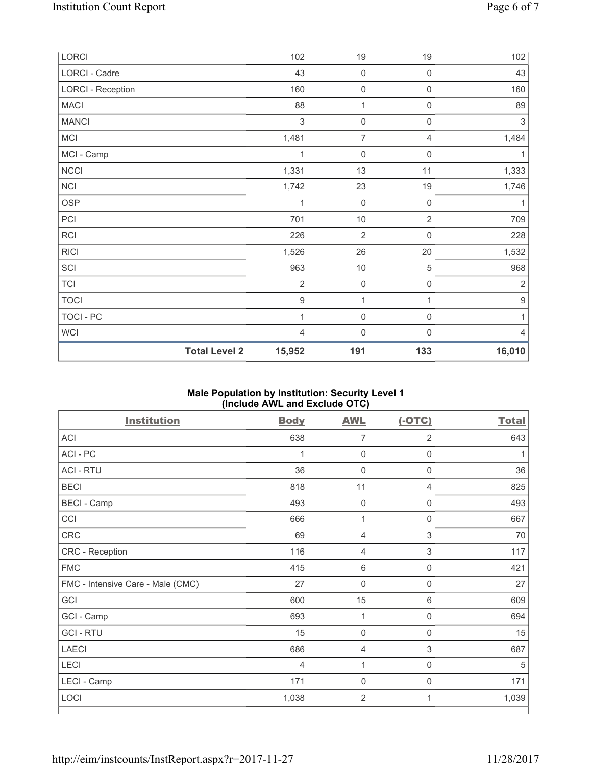| LORCI                    |                      | 102            | 19                  | 19                  | 102              |
|--------------------------|----------------------|----------------|---------------------|---------------------|------------------|
| LORCI - Cadre            |                      | 43             | $\mathsf{O}\xspace$ | 0                   | 43               |
| <b>LORCI - Reception</b> |                      | 160            | $\mathsf{O}\xspace$ | 0                   | 160              |
| <b>MACI</b>              |                      | 88             | 1                   | 0                   | 89               |
| <b>MANCI</b>             |                      | 3              | $\mathsf{O}\xspace$ | 0                   | $\sqrt{3}$       |
| MCI                      |                      | 1,481          | $\overline{7}$      | 4                   | 1,484            |
| MCI - Camp               |                      | 1              | 0                   | $\boldsymbol{0}$    | 1                |
| NCCI                     |                      | 1,331          | 13                  | 11                  | 1,333            |
| <b>NCI</b>               |                      | 1,742          | 23                  | 19                  | 1,746            |
| <b>OSP</b>               |                      | 1              | $\mathbf 0$         | $\boldsymbol{0}$    | 1                |
| PCI                      |                      | 701            | $10$                | $\overline{2}$      | 709              |
| <b>RCI</b>               |                      | 226            | $\overline{2}$      | $\mathbf 0$         | 228              |
| <b>RICI</b>              |                      | 1,526          | 26                  | 20                  | 1,532            |
| SCI                      |                      | 963            | $10$                | 5                   | 968              |
| <b>TCI</b>               |                      | $\overline{2}$ | $\mathbf 0$         | $\mathsf{O}\xspace$ | $\overline{2}$   |
| <b>TOCI</b>              |                      | $\mathsf g$    | 1                   | $\mathbf{1}$        | $\boldsymbol{9}$ |
| TOCI - PC                |                      | 1              | $\mathsf{O}\xspace$ | $\mathsf{0}$        | $\mathbf{1}$     |
| WCI                      |                      | $\overline{4}$ | $\mathbf 0$         | $\boldsymbol{0}$    | 4                |
|                          | <b>Total Level 2</b> | 15,952         | 191                 | 133                 | 16,010           |

### **Male Population by Institution: Security Level 1 (Include AWL and Exclude OTC)**

| <b>Institution</b>                | <b>Body</b>    | <b>AWL</b>     | $(-OTC)$         | <b>Total</b> |
|-----------------------------------|----------------|----------------|------------------|--------------|
| <b>ACI</b>                        | 638            | $\overline{7}$ | $\overline{2}$   | 643          |
| ACI - PC                          | 1              | $\mathbf 0$    | $\mathbf 0$      |              |
| <b>ACI - RTU</b>                  | 36             | $\pmb{0}$      | $\mathbf 0$      | 36           |
| <b>BECI</b>                       | 818            | 11             | $\overline{4}$   | 825          |
| <b>BECI</b> - Camp                | 493            | $\pmb{0}$      | $\mathbf 0$      | 493          |
| CCI                               | 666            | 1              | $\mathbf 0$      | 667          |
| CRC                               | 69             | $\overline{4}$ | 3                | 70           |
| CRC - Reception                   | 116            | $\overline{4}$ | 3                | 117          |
| <b>FMC</b>                        | 415            | $\,6\,$        | $\boldsymbol{0}$ | 421          |
| FMC - Intensive Care - Male (CMC) | 27             | $\mathbf 0$    | $\boldsymbol{0}$ | 27           |
| GCI                               | 600            | 15             | 6                | 609          |
| GCI - Camp                        | 693            | 1              | 0                | 694          |
| <b>GCI-RTU</b>                    | 15             | $\mathbf 0$    | 0                | 15           |
| <b>LAECI</b>                      | 686            | $\overline{4}$ | 3                | 687          |
| <b>LECI</b>                       | $\overline{4}$ | 1              | 0                | 5            |
| LECI - Camp                       | 171            | $\mathbf 0$    | 0                | 171          |
| LOCI                              | 1,038          | $\overline{2}$ | 1                | 1,039        |